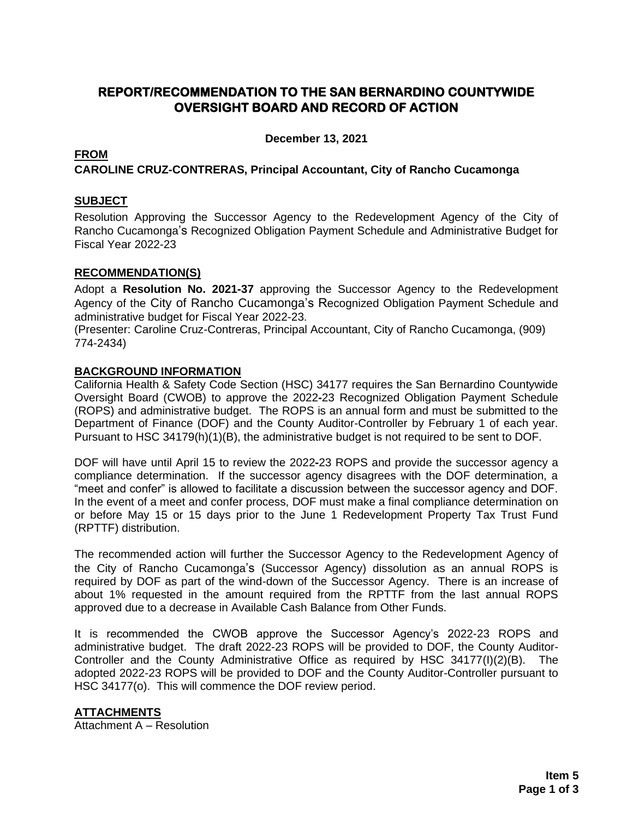# **REPORT/RECOMMENDATION TO THE SAN BERNARDINO COUNTYWIDE OVERSIGHT BOARD AND RECORD OF ACTION**

**December 13, 2021**

## **FROM**

## **CAROLINE CRUZ-CONTRERAS, Principal Accountant, City of Rancho Cucamonga**

## **SUBJECT**

Resolution Approving the Successor Agency to the Redevelopment Agency of the City of Rancho Cucamonga's Recognized Obligation Payment Schedule and Administrative Budget for Fiscal Year 2022-23

#### **RECOMMENDATION(S)**

Adopt a **Resolution No. 2021-37** approving the Successor Agency to the Redevelopment Agency of the City of Rancho Cucamonga's Recognized Obligation Payment Schedule and administrative budget for Fiscal Year 2022-23.

(Presenter: Caroline Cruz-Contreras, Principal Accountant, City of Rancho Cucamonga, (909) 774-2434)

#### **BACKGROUND INFORMATION**

California Health & Safety Code Section (HSC) 34177 requires the San Bernardino Countywide Oversight Board (CWOB) to approve the 2022**-**23 Recognized Obligation Payment Schedule (ROPS) and administrative budget. The ROPS is an annual form and must be submitted to the Department of Finance (DOF) and the County Auditor-Controller by February 1 of each year. Pursuant to HSC 34179(h)(1)(B), the administrative budget is not required to be sent to DOF.

DOF will have until April 15 to review the 2022**-**23 ROPS and provide the successor agency a compliance determination. If the successor agency disagrees with the DOF determination, a "meet and confer" is allowed to facilitate a discussion between the successor agency and DOF. In the event of a meet and confer process, DOF must make a final compliance determination on or before May 15 or 15 days prior to the June 1 Redevelopment Property Tax Trust Fund (RPTTF) distribution.

The recommended action will further the Successor Agency to the Redevelopment Agency of the City of Rancho Cucamonga's (Successor Agency) dissolution as an annual ROPS is required by DOF as part of the wind-down of the Successor Agency. There is an increase of about 1% requested in the amount required from the RPTTF from the last annual ROPS approved due to a decrease in Available Cash Balance from Other Funds.

It is recommended the CWOB approve the Successor Agency's 2022-23 ROPS and administrative budget. The draft 2022-23 ROPS will be provided to DOF, the County Auditor-Controller and the County Administrative Office as required by HSC 34177(I)(2)(B). The adopted 2022-23 ROPS will be provided to DOF and the County Auditor-Controller pursuant to HSC 34177(o). This will commence the DOF review period.

## **ATTACHMENTS**

Attachment A – Resolution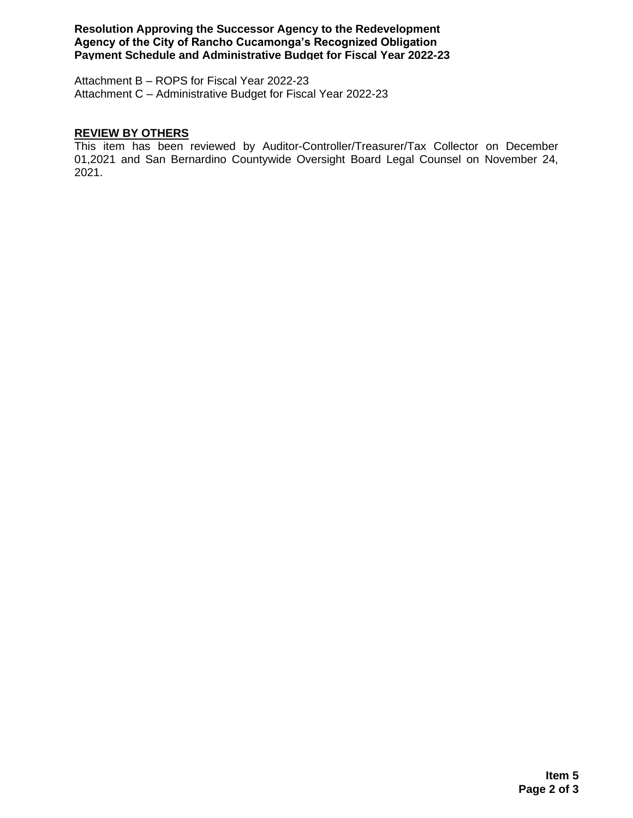**Resolution Approving the Successor Agency to the Redevelopment Agency of the City of Rancho Cucamonga's Recognized Obligation Payment Schedule and Administrative Budget for Fiscal Year 2022-23**

Attachment B – ROPS for Fiscal Year 2022-23 Attachment C – Administrative Budget for Fiscal Year 2022-23

#### **REVIEW BY OTHERS**

This item has been reviewed by Auditor-Controller/Treasurer/Tax Collector on December 01,2021 and San Bernardino Countywide Oversight Board Legal Counsel on November 24, 2021.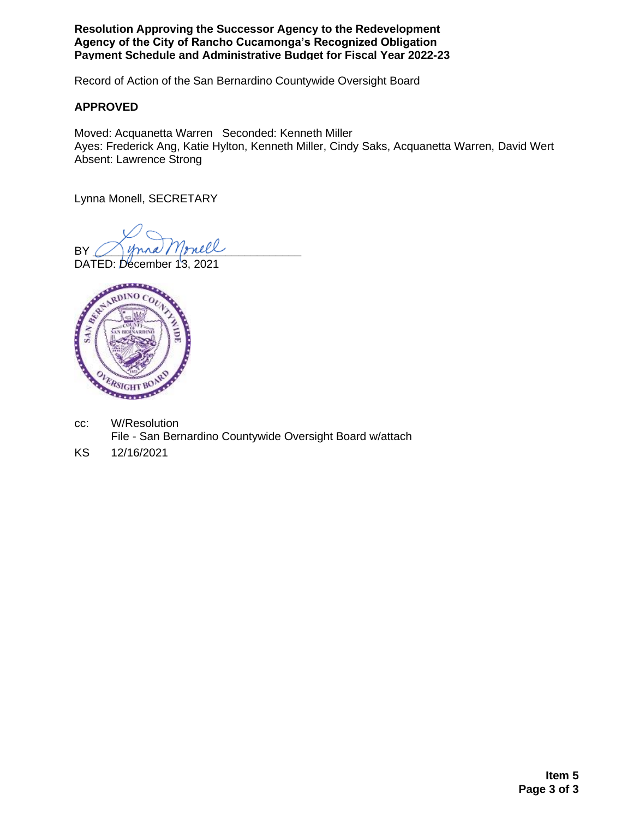**Resolution Approving the Successor Agency to the Redevelopment Agency of the City of Rancho Cucamonga's Recognized Obligation Payment Schedule and Administrative Budget for Fiscal Year 2022-23**

Record of Action of the San Bernardino Countywide Oversight Board

## **APPROVED**

Moved: Acquanetta Warren Seconded: Kenneth Miller Ayes: Frederick Ang, Katie Hylton, Kenneth Miller, Cindy Saks, Acquanetta Warren, David Wert Absent: Lawrence Strong

Lynna Monell, SECRETARY

BY Mona Monell

DATED: December 13, 2021



- cc: W/Resolution File - San Bernardino Countywide Oversight Board w/attach
- KS 12/16/2021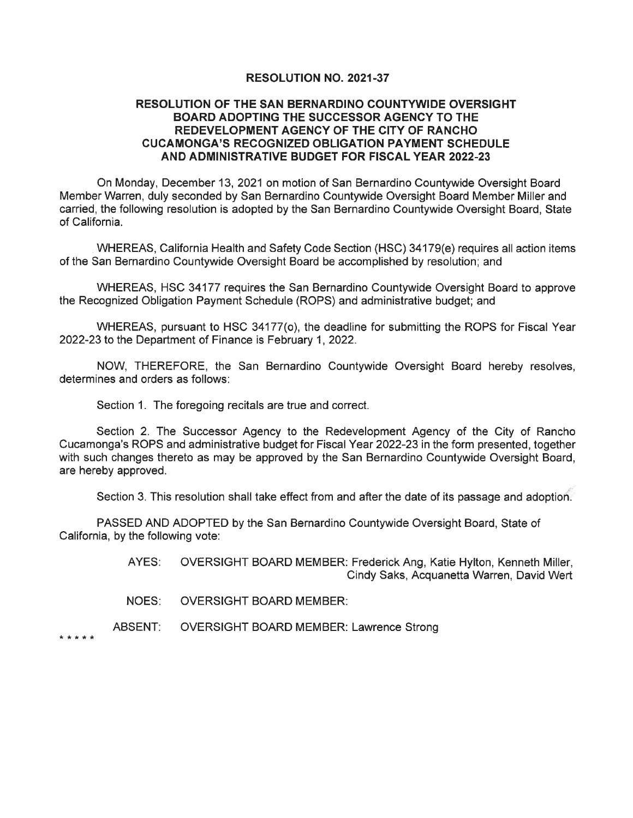#### **RESOLUTION NO. 2021-37**

#### **RESOLUTION OF THE SAN BERNARDINO COUNTYWIDE OVERSIGHT BOARD ADOPTING THE SUCCESSOR AGENCY TO THE** REDEVELOPMENT AGENCY OF THE CITY OF RANCHO **CUCAMONGA'S RECOGNIZED OBLIGATION PAYMENT SCHEDULE** AND ADMINISTRATIVE BUDGET FOR FISCAL YEAR 2022-23

On Monday, December 13, 2021 on motion of San Bernardino Countywide Oversight Board Member Warren, duly seconded by San Bernardino Countywide Oversight Board Member Miller and carried, the following resolution is adopted by the San Bernardino Countywide Oversight Board, State of California.

WHEREAS, California Health and Safety Code Section (HSC) 34179(e) requires all action items of the San Bernardino Countywide Oversight Board be accomplished by resolution; and

WHEREAS, HSC 34177 requires the San Bernardino Countywide Oversight Board to approve the Recognized Obligation Payment Schedule (ROPS) and administrative budget; and

WHEREAS, pursuant to HSC 34177(o), the deadline for submitting the ROPS for Fiscal Year 2022-23 to the Department of Finance is February 1, 2022.

NOW, THEREFORE, the San Bernardino Countywide Oversight Board hereby resolves, determines and orders as follows:

Section 1. The foregoing recitals are true and correct.

Section 2. The Successor Agency to the Redevelopment Agency of the City of Rancho Cucamonga's ROPS and administrative budget for Fiscal Year 2022-23 in the form presented, together with such changes thereto as may be approved by the San Bernardino Countywide Oversight Board, are hereby approved.

Section 3. This resolution shall take effect from and after the date of its passage and adoption.

PASSED AND ADOPTED by the San Bernardino Countywide Oversight Board, State of California, by the following vote:

> AYES: OVERSIGHT BOARD MEMBER: Frederick Ang, Katie Hylton, Kenneth Miller, Cindy Saks, Acquanetta Warren, David Wert

NOES: **OVERSIGHT BOARD MEMBER:** 

ABSENT: **OVERSIGHT BOARD MEMBER: Lawrence Strong** 

\* \* \* \* \*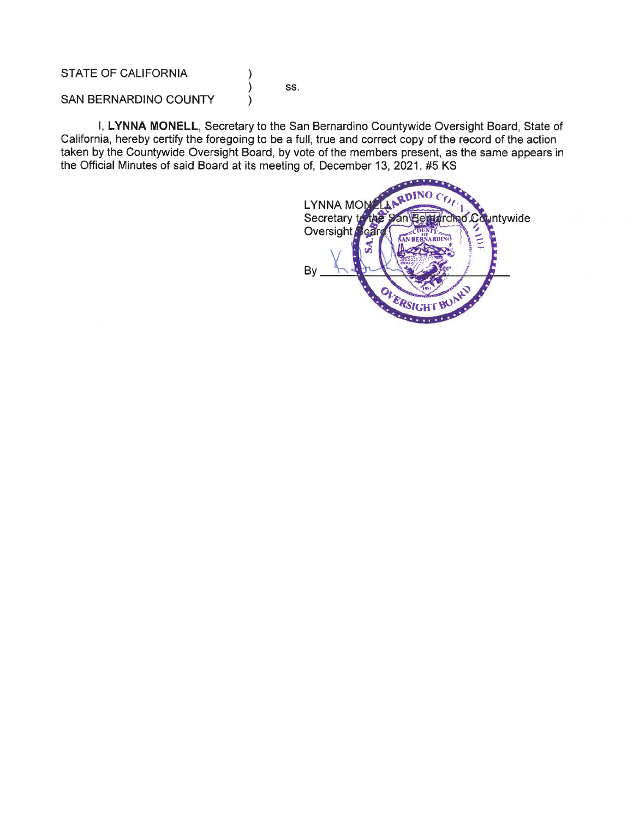STATE OF CALIFORNIA

SS.

 $\mathcal{E}$  $\lambda$ 

 $\lambda$ 

SAN BERNARDINO COUNTY

I, LYNNA MONELL, Secretary to the San Bernardino Countywide Oversight Board, State of California, hereby certify the foregoing to be a full, true and correct copy of the record of the action taken by the Countywide Oversight Board, by vote of the members present, as the same appears in the Official Minutes of said Board at its meeting of, December 13, 2021. #5 KS

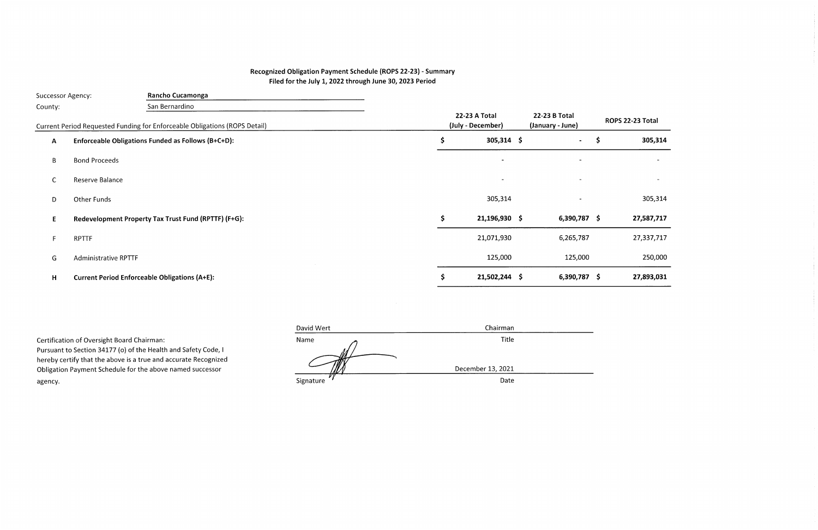## Recognized Obligation Payment Schedule (ROPS 22-23) - Summary Filed for the July 1, 2022 through June 30, 2023 Period

| Rancho Cucamonga<br>Successor Agency: |                             |                                                                            |                                           |    |                 |                                   |                          |    |            |
|---------------------------------------|-----------------------------|----------------------------------------------------------------------------|-------------------------------------------|----|-----------------|-----------------------------------|--------------------------|----|------------|
| County:                               |                             | San Bernardino                                                             |                                           |    |                 |                                   |                          |    |            |
|                                       |                             | Current Period Requested Funding for Enforceable Obligations (ROPS Detail) | <b>22-23 A Total</b><br>(July - December) |    |                 | 22-23 B Total<br>(January - June) | ROPS 22-23 Total         |    |            |
| $\mathbf{A}$                          |                             | Enforceable Obligations Funded as Follows (B+C+D):                         |                                           | S  | $305,314$ \$    |                                   |                          | \$ | 305,314    |
| $\mathsf B$                           | <b>Bond Proceeds</b>        |                                                                            |                                           |    | $\blacksquare$  |                                   | $\overline{\phantom{a}}$ |    |            |
| $\mathsf{C}$                          | Reserve Balance             |                                                                            |                                           |    | $\blacksquare$  |                                   |                          |    |            |
| D                                     | Other Funds                 |                                                                            |                                           |    | 305,314         |                                   |                          |    | 305,314    |
| E.                                    |                             | Redevelopment Property Tax Trust Fund (RPTTF) (F+G):                       |                                           | S. | 21,196,930 \$   |                                   | $6,390,787$ \$           |    | 27,587,717 |
| F.                                    | <b>RPTTF</b>                |                                                                            |                                           |    | 21,071,930      |                                   | 6,265,787                |    | 27,337,717 |
| G                                     | <b>Administrative RPTTF</b> |                                                                            |                                           |    | 125,000         |                                   | 125,000                  |    | 250,000    |
| H                                     |                             | <b>Current Period Enforceable Obligations (A+E):</b>                       |                                           |    | $21,502,244$ \$ |                                   | $6,390,787$ \$           |    | 27,893,031 |
|                                       |                             |                                                                            |                                           |    |                 |                                   |                          |    |            |

Certification of Oversight Board Chairman: Pursuant to Section 34177 (o) of the Health and Safety Code, I hereby certify that the above is a true and accurate Recognized Obligation Payment Schedule for the above named successor agency.

| David Wert | Chairman          |  |
|------------|-------------------|--|
| Name       | Title             |  |
|            | December 13, 2021 |  |
| Signature  | Date              |  |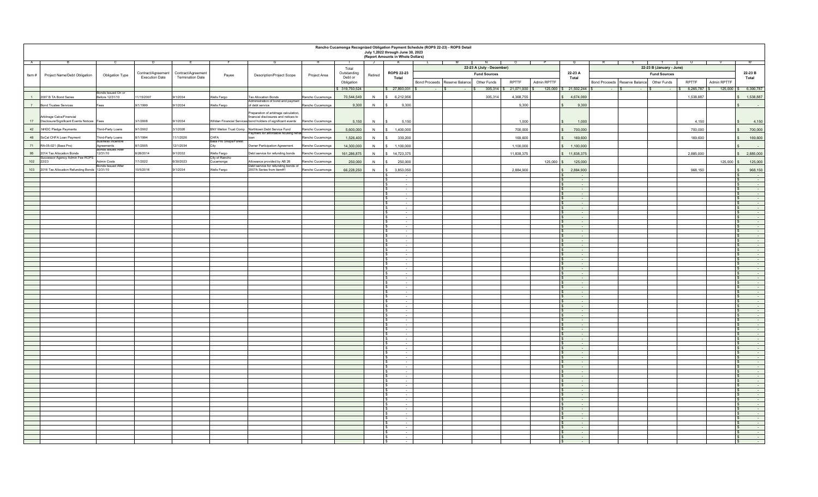|                | Rancho Cucamonga Recognized Obligation Payment Schedule (ROPS 22-23) - ROPS Detail<br>July 1,2022 through June 30, 2023<br>(Report Amounts in Whole Dollars) |                                        |                       |                         |                               |                                                                               |                  |                       |                          |                                    |          |                                              |                          |              |                                                  |                                           |                          |                      |                                                |
|----------------|--------------------------------------------------------------------------------------------------------------------------------------------------------------|----------------------------------------|-----------------------|-------------------------|-------------------------------|-------------------------------------------------------------------------------|------------------|-----------------------|--------------------------|------------------------------------|----------|----------------------------------------------|--------------------------|--------------|--------------------------------------------------|-------------------------------------------|--------------------------|----------------------|------------------------------------------------|
|                |                                                                                                                                                              |                                        |                       |                         |                               |                                                                               |                  |                       | $\overline{\phantom{a}}$ | K.                                 | <b>L</b> | M<br>N<br>$\mathbf{r}$<br>$\mathbf{I}$       | $\circ$<br>$\mathbf{r}$  |              |                                                  |                                           |                          | ᠊᠊                   |                                                |
|                |                                                                                                                                                              |                                        |                       |                         |                               |                                                                               |                  | Total                 |                          |                                    |          | 22-23 A (July - December)                    |                          |              |                                                  |                                           | 22-23 B (January - June) |                      |                                                |
| Item #         | Project Name/Debt Obligation                                                                                                                                 | Obligation Type                        | Contract/Agreement    | Contract/Agreement      | Payee                         | Description/Project Scope                                                     | Project Area     | Outstanding           | Retired                  | <b>ROPS 22-23</b>                  |          | <b>Fund Sources</b>                          |                          |              | 22-23 A                                          | <b>Fund Sources</b>                       |                          |                      | 22-23 B                                        |
|                |                                                                                                                                                              |                                        | <b>Execution Date</b> | <b>Termination Date</b> |                               |                                                                               |                  | Debt or<br>Obligation |                          | Total                              |          | Bond Proceeds Reserve Balance<br>Other Funds | RPTTF                    | Admin RPTTF  | Total                                            | Bond Proceeds Reserve Balance Other Funds |                          | RPTTF<br>Admin RPTTF | Total                                          |
|                |                                                                                                                                                              |                                        |                       |                         |                               |                                                                               |                  |                       |                          |                                    |          |                                              |                          |              |                                                  |                                           |                          |                      |                                                |
|                |                                                                                                                                                              | onds Issued On or                      |                       |                         |                               |                                                                               |                  | \$319,750,524         |                          | $$27,893,031$ \$                   |          |                                              | 305,314 \$ 21,071,930 \$ |              | 125,000 \$ 21,502,244 \$                         | - IS                                      |                          | $6,265,787$ \$       | 125,000 \$ 6,390,787                           |
| $\overline{1}$ | 2007 B TA Bond Series                                                                                                                                        | Before 12/31/10                        | 1/15/2007             | 9/1/2034                | Wells Fargo                   | <b>Tax Allocation Bonds</b>                                                   | Rancho Cucamonga | 70,544,549            | N                        | 6,212,956                          |          | 305,314                                      | 4,368,755                |              | 4,674,069<br>$\hat{\mathbf{z}}$                  |                                           |                          | 1,538,887            | 1,538,887                                      |
| 7              | <b>Bond Trustee Services</b>                                                                                                                                 | ees                                    | 9/1/1999              | 9/1/2034                | Wells Fargo                   | Administration of bond and payme<br>of debt service                           | Rancho Cucamonga | 9,300                 | N                        | 9,300                              |          |                                              | 9,300                    |              | 9,300<br>$\hat{\mathbf{x}}$                      |                                           |                          |                      |                                                |
|                |                                                                                                                                                              |                                        |                       |                         |                               |                                                                               |                  |                       |                          |                                    |          |                                              |                          |              |                                                  |                                           |                          |                      |                                                |
|                | Arbitrage Calcs/Financial                                                                                                                                    |                                        |                       |                         |                               | Preparation of arbitrage calculation,<br>financial disclosures and notices to |                  |                       |                          |                                    |          |                                              |                          |              |                                                  |                                           |                          |                      |                                                |
| 17             | Disclosure/Significant Events Notices Fees                                                                                                                   |                                        | 3/1/2008              | 9/1/2034                |                               | Willdan Financial Services bond holders of significant events                 | Rancho Cucamonga | 5,150                 | N                        | 5,150                              |          |                                              | 1,000                    |              | 1,000                                            |                                           |                          | 4,150                | 4,150                                          |
| 42             | NHDC Pledge Payments                                                                                                                                         | Third-Party Loans                      | 9/1/2002              | 3/1/2026                |                               | BNY Mellon Trust Comp Northtown Debt Service Fund                             | Rancho Cucamonga | 5,600,000             | N                        | 1,400,000                          |          |                                              | 700,000                  |              | $\mathbf{s}$<br>700,000                          |                                           |                          | 700,000              | 700,000                                        |
|                |                                                                                                                                                              |                                        |                       |                         |                               | ayment for affordable housing rehab                                           |                  |                       |                          |                                    |          |                                              |                          |              |                                                  |                                           |                          |                      |                                                |
| 48             | SoCal CHFA Loan Payment                                                                                                                                      | Third-Party Loans<br>usiness incentive | 8/1/1994              | 1/1/2026                | CHFA<br>Bass Pro Shops/Forest |                                                                               | Rancho Cucamonga | 1,526,400             | N                        | 339,200                            |          |                                              | 169,600                  |              | 169,600                                          |                                           |                          | 169,600              | 169,600                                        |
| 71             | RA-05-021 (Bass Pro)                                                                                                                                         | Agreements                             | 8/1/2005              | 12/1/2034               | City                          | Owner Participation Agreement                                                 | Rancho Cucamonga | 14,300,000            | N                        | 1,100,000                          |          |                                              | 1,100,000                |              | \$ 1,100,000                                     |                                           |                          |                      |                                                |
|                | 95 2014 Tax Allocation Bonds                                                                                                                                 | onds Issued After<br>12/31/10          | 6/26/2014             | 3/1/2032                | Wells Fargo                   | Debt service for refunding bonds                                              | Rancho Cucamonga | 161,286,875           | N                        | 14,723,375                         |          |                                              | 11,838,375               |              | \$11,838,375                                     |                                           |                          | 2,885,000            | 2,885,000                                      |
|                | Successor Agency Admin Fee ROPS                                                                                                                              |                                        |                       |                         | City of Rancho                |                                                                               |                  |                       |                          |                                    |          |                                              |                          |              |                                                  |                                           |                          |                      |                                                |
|                | 102 22/23                                                                                                                                                    | Admin Costs<br>Bonds Issued After      | 7/1/2022              | 6/30/2023               | Cucamonga                     | Allowance provided by AB 26<br>Debt service for refunding bonds of            | Rancho Cucamonga | 250,000               | N                        | 250,000                            |          |                                              |                          | $125,000$ \$ | 125,000                                          |                                           |                          | $125,000$ \$         | 125,000                                        |
|                | 103 2016 Tax Allocation Refunding Bonds                                                                                                                      | 12/31/10                               | 10/5/2016             | /1/2034                 | Wells Fargo                   | 2007A Series from item#1                                                      | Rancho Cucamonga | 66,228,250            | N                        | 3,853,050                          |          |                                              | 2,884,900                |              | 2,884,900                                        |                                           |                          | 968,150              | 968,150                                        |
|                |                                                                                                                                                              |                                        |                       |                         |                               |                                                                               |                  |                       |                          |                                    |          |                                              |                          |              |                                                  |                                           |                          |                      |                                                |
|                |                                                                                                                                                              |                                        |                       |                         |                               |                                                                               |                  |                       |                          | $\sim$<br>$\sim$                   |          |                                              |                          |              | $\sim$<br>$\sim$                                 |                                           |                          |                      | -S<br>$\sim$<br>$\mathsf{S}$<br>$\sim$         |
|                |                                                                                                                                                              |                                        |                       |                         |                               |                                                                               |                  |                       |                          | $\sim$                             |          |                                              |                          |              | $\sim$                                           |                                           |                          |                      | $\sim$                                         |
|                |                                                                                                                                                              |                                        |                       |                         |                               |                                                                               |                  |                       |                          |                                    |          |                                              |                          |              | $\mathcal{S}$<br>$\sim$                          |                                           |                          |                      | $\mathbf{s}$<br>$\sim$                         |
|                |                                                                                                                                                              |                                        |                       |                         |                               |                                                                               |                  |                       |                          | $\sim$                             |          |                                              |                          |              | $\sim$<br>$\sim$                                 |                                           |                          |                      | $\mathbf{s}$<br>$\sim$ $-$                     |
|                |                                                                                                                                                              |                                        |                       |                         |                               |                                                                               |                  |                       |                          | $\sim$<br>$\sim$                   |          |                                              |                          |              | $\sim$<br>$\mathbf{s}$<br>$\sim$                 |                                           |                          |                      | $\mathbf{s}$<br>$\sim$<br>$\sim$               |
|                |                                                                                                                                                              |                                        |                       |                         |                               |                                                                               |                  |                       |                          |                                    |          |                                              |                          |              |                                                  |                                           |                          |                      | $\sim$                                         |
|                |                                                                                                                                                              |                                        |                       |                         |                               |                                                                               |                  |                       |                          | $\sim$                             |          |                                              |                          |              | $\sim$                                           |                                           |                          |                      | $\sim$<br>-SS                                  |
|                |                                                                                                                                                              |                                        |                       |                         |                               |                                                                               |                  |                       |                          | $\sim$                             |          |                                              |                          |              | $\sim$<br>S.                                     |                                           |                          |                      | $\sqrt{s}$<br>$\sim$ $\sim$                    |
|                |                                                                                                                                                              |                                        |                       |                         |                               |                                                                               |                  |                       |                          | $\sim$<br>$\sim$                   |          |                                              |                          |              | $\sim$<br>$\sim$                                 |                                           |                          |                      | $\sim$<br>$\sim$<br>$\sim$                     |
|                |                                                                                                                                                              |                                        |                       |                         |                               |                                                                               |                  |                       |                          | $\sim$                             |          |                                              |                          |              | $\sim$<br>S.                                     |                                           |                          |                      | $\sim$<br>$\mathbf{s}$                         |
|                |                                                                                                                                                              |                                        |                       |                         |                               |                                                                               |                  |                       |                          | $\sim$                             |          |                                              |                          |              | $\sim$                                           |                                           |                          |                      | $\sim$                                         |
|                |                                                                                                                                                              |                                        |                       |                         |                               |                                                                               |                  |                       |                          | $\sim$                             |          |                                              |                          |              | $\sim$                                           |                                           |                          |                      | $\sim$                                         |
|                |                                                                                                                                                              |                                        |                       |                         |                               |                                                                               |                  |                       |                          | $\sim$<br>$\sim$                   |          |                                              |                          |              | $\mathbf{s}$<br>$\sim$<br>$\mathbf{s}$<br>$\sim$ |                                           |                          |                      | l s<br>. .<br>$\sqrt{s}$<br>$\sim$             |
|                |                                                                                                                                                              |                                        |                       |                         |                               |                                                                               |                  |                       |                          | $\sim$                             |          |                                              |                          |              | $\mathbf{s}$<br>$\sim$                           |                                           |                          |                      | $\mathbf{s}$<br>$\sim$                         |
|                |                                                                                                                                                              |                                        |                       |                         |                               |                                                                               |                  |                       |                          | $\sim$                             |          |                                              |                          |              |                                                  |                                           |                          |                      | $\sim$                                         |
|                |                                                                                                                                                              |                                        |                       |                         |                               |                                                                               |                  |                       |                          | $\sim$<br>$\sim$                   |          |                                              |                          |              | $\sim$<br>$\mathbf{s}$<br>$\sim$                 |                                           |                          |                      | $\mathbf{s}$<br>$\sim$<br>$\sqrt{s}$<br>$\sim$ |
|                |                                                                                                                                                              |                                        |                       |                         |                               |                                                                               |                  |                       |                          | $\sim$                             |          |                                              |                          |              | $\mathsf{S}$<br>$\sim$                           |                                           |                          |                      | l s<br>$\sim$ $\sim$                           |
|                |                                                                                                                                                              |                                        |                       |                         |                               |                                                                               |                  |                       |                          | $\overline{\phantom{a}}$           |          |                                              |                          |              |                                                  |                                           |                          |                      | $\sim$                                         |
|                |                                                                                                                                                              |                                        |                       |                         |                               |                                                                               |                  |                       |                          | $\sim$                             |          |                                              |                          |              | $\sim$<br>$\sim$                                 |                                           |                          |                      | <b>College</b><br>$\sim$                       |
|                |                                                                                                                                                              |                                        |                       |                         |                               |                                                                               |                  |                       |                          | $\sim$<br>$\sim$                   |          |                                              |                          |              | $\sim$                                           |                                           |                          |                      | $\sim$<br>$\mathsf{S}$<br>$\sim$ 100 $\sim$    |
|                |                                                                                                                                                              |                                        |                       |                         |                               |                                                                               |                  |                       |                          | $\sim$                             |          |                                              |                          |              |                                                  |                                           |                          |                      | $\mathbf{s}$<br>$\sim$                         |
|                |                                                                                                                                                              |                                        |                       |                         |                               |                                                                               |                  |                       |                          | $\sim$                             |          |                                              |                          |              | $\sim$<br>$\sim$                                 |                                           |                          |                      | l s<br>$\sim 10^{-1}$                          |
|                |                                                                                                                                                              |                                        |                       |                         |                               |                                                                               |                  |                       |                          | $\sim$                             |          |                                              |                          |              |                                                  |                                           |                          |                      |                                                |
|                |                                                                                                                                                              |                                        |                       |                         |                               |                                                                               |                  |                       |                          | $\sim$                             |          |                                              |                          |              | $\sim$<br>$\mathbf{S}$                           |                                           |                          |                      | $\sim$<br>I S                                  |
|                |                                                                                                                                                              |                                        |                       |                         |                               |                                                                               |                  |                       |                          | $\sim$                             |          |                                              |                          |              | l S<br>$\sim$                                    |                                           |                          |                      | l s<br>$\sim$ $-$                              |
|                |                                                                                                                                                              |                                        |                       |                         |                               |                                                                               |                  |                       |                          | $\sim$                             |          |                                              |                          |              | $\epsilon$                                       |                                           |                          |                      | ÷.<br>$\mathbf{s}$                             |
|                |                                                                                                                                                              |                                        |                       |                         |                               |                                                                               |                  |                       |                          | $\sim$                             |          |                                              |                          |              | $\sim$                                           |                                           |                          |                      | $\sim$<br>IS.<br>$\sim$                        |
|                |                                                                                                                                                              |                                        |                       |                         |                               |                                                                               |                  |                       |                          | $\sim$                             |          |                                              |                          |              | $\sim$                                           |                                           |                          |                      | $\sim$<br>$\mathcal{S}$                        |
|                |                                                                                                                                                              |                                        |                       |                         |                               |                                                                               |                  |                       |                          |                                    |          |                                              |                          |              | $\overline{\phantom{a}}$                         |                                           |                          |                      | $\sim$<br>$\mathbf{s}$                         |
|                |                                                                                                                                                              |                                        |                       |                         |                               |                                                                               |                  |                       |                          | $\sim$                             |          |                                              |                          |              | $\sim$<br>$\sim$                                 |                                           |                          |                      | $\sim$<br>IS.<br>$\sim$<br>$\sim$              |
|                |                                                                                                                                                              |                                        |                       |                         |                               |                                                                               |                  |                       |                          | $\sim$                             |          |                                              |                          |              | $\sim$                                           |                                           |                          |                      | $\sim$<br>$\mathbf{s}$                         |
|                |                                                                                                                                                              |                                        |                       |                         |                               |                                                                               |                  |                       |                          | $\sim$                             |          |                                              |                          |              | $\sim$<br>$\mathbf{s}$                           |                                           |                          |                      | $\sqrt{5}$<br>$\sim$                           |
|                |                                                                                                                                                              |                                        |                       |                         |                               |                                                                               |                  |                       |                          | $\sim$                             |          |                                              |                          |              | $\sim$                                           |                                           |                          |                      | $\sim$                                         |
|                |                                                                                                                                                              |                                        |                       |                         |                               |                                                                               |                  |                       |                          | $\sim$<br>$\sim$                   |          |                                              |                          |              | $\sim$<br>$\mathbf{S}$<br>S.<br>$\sim$           |                                           |                          |                      | $\sim$<br>$\sim$<br>$\mathbf{s}$<br>$\sim$     |
|                |                                                                                                                                                              |                                        |                       |                         |                               |                                                                               |                  |                       |                          | $\sim$                             |          |                                              |                          |              | $\sim$<br>$\mathbf{S}$                           |                                           |                          |                      | l s<br>$\sim$                                  |
|                |                                                                                                                                                              |                                        |                       |                         |                               |                                                                               |                  |                       |                          | $\sim$                             |          |                                              |                          |              | $\sim$                                           |                                           |                          |                      | $\sim$                                         |
|                |                                                                                                                                                              |                                        |                       |                         |                               |                                                                               |                  |                       |                          |                                    |          |                                              |                          |              |                                                  |                                           |                          |                      | $\sim$                                         |
|                |                                                                                                                                                              |                                        |                       |                         |                               |                                                                               |                  |                       |                          | $\sim$<br>$\sim$                   |          |                                              |                          |              | $\sim$<br>$\sim$<br>$\mathbf{s}$                 |                                           |                          |                      | $\sim$<br>I S<br>$\sqrt{s}$<br>$\sim$          |
|                |                                                                                                                                                              |                                        |                       |                         |                               |                                                                               |                  |                       |                          | $\sim$                             |          |                                              |                          |              | $\sim$                                           |                                           |                          |                      | $\sim$<br>-SS                                  |
|                |                                                                                                                                                              |                                        |                       |                         |                               |                                                                               |                  |                       |                          | $\sim$                             |          |                                              |                          |              | $\sim$                                           |                                           |                          |                      | $\sim$<br>$\mathbf{s}$                         |
|                |                                                                                                                                                              |                                        |                       |                         |                               |                                                                               |                  |                       |                          | $\sim$                             |          |                                              |                          |              | $\sim$                                           |                                           |                          |                      | $\sim$<br>$\mathbf{s}$                         |
|                |                                                                                                                                                              |                                        |                       |                         |                               |                                                                               |                  |                       |                          | $\sim$<br>$\overline{\phantom{a}}$ |          |                                              |                          |              | $\sim$<br>$\epsilon$                             |                                           |                          |                      | $\sim$<br>-S<br>$\sim$                         |
|                |                                                                                                                                                              |                                        |                       |                         |                               |                                                                               |                  |                       |                          | $\sim$<br>ΙSΙ                      |          |                                              |                          |              | $\sim$<br>$\sim$                                 |                                           |                          |                      | $\sim$<br>l s                                  |
|                |                                                                                                                                                              |                                        |                       |                         |                               |                                                                               |                  |                       |                          | $\sim$                             |          |                                              |                          |              | $\mathbf{s}$                                     |                                           |                          |                      | ÷.<br>$\sqrt{s}$                               |
|                |                                                                                                                                                              |                                        |                       |                         |                               |                                                                               |                  |                       |                          |                                    |          |                                              |                          |              | \$.<br>$\sim$                                    |                                           |                          |                      | $\mathbf{s}$<br>$\sim$                         |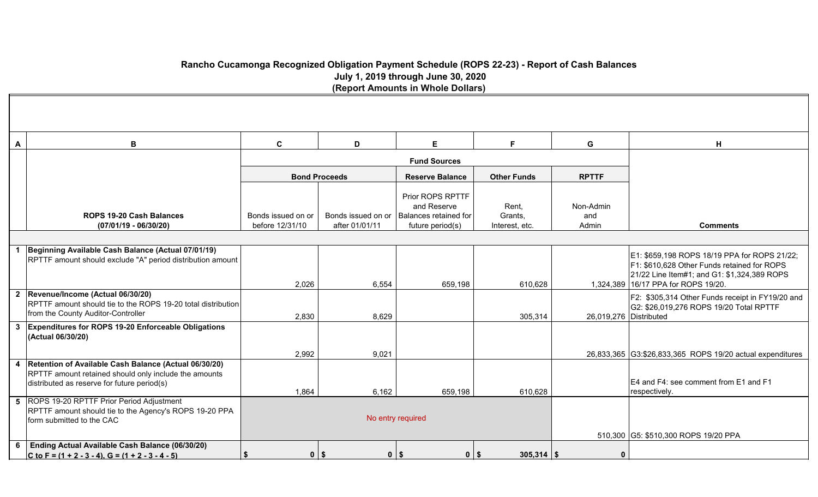## **Rancho Cucamonga Recognized Obligation Payment Schedule (ROPS 22-23) - Report of Cash Balances July 1, 2019 through June 30, 2020 (Report Amounts in Whole Dollars)**

| A | В                                                                                                                                                               | $\mathbf{C}$                          | D                                    | E                                                                            | F.                                 | G                         | н                                                                                                                                                                                 |  |
|---|-----------------------------------------------------------------------------------------------------------------------------------------------------------------|---------------------------------------|--------------------------------------|------------------------------------------------------------------------------|------------------------------------|---------------------------|-----------------------------------------------------------------------------------------------------------------------------------------------------------------------------------|--|
|   |                                                                                                                                                                 |                                       |                                      | <b>Fund Sources</b>                                                          |                                    |                           |                                                                                                                                                                                   |  |
|   |                                                                                                                                                                 |                                       | <b>Bond Proceeds</b>                 | <b>Reserve Balance</b>                                                       | <b>Other Funds</b>                 |                           |                                                                                                                                                                                   |  |
|   | <b>ROPS 19-20 Cash Balances</b><br>$(07/01/19 - 06/30/20)$                                                                                                      | Bonds issued on or<br>before 12/31/10 | Bonds issued on or<br>after 01/01/11 | Prior ROPS RPTTF<br>and Reserve<br>Balances retained for<br>future period(s) | Rent,<br>Grants,<br>Interest, etc. | Non-Admin<br>and<br>Admin | <b>Comments</b>                                                                                                                                                                   |  |
|   |                                                                                                                                                                 |                                       |                                      |                                                                              |                                    |                           |                                                                                                                                                                                   |  |
|   | Beginning Available Cash Balance (Actual 07/01/19)<br>RPTTF amount should exclude "A" period distribution amount                                                | 2,026                                 | 6,554                                | 659,198                                                                      | 610,628                            |                           | E1: \$659,198 ROPS 18/19 PPA for ROPS 21/22;<br>F1: \$610,628 Other Funds retained for ROPS<br>21/22 Line Item#1; and G1: \$1,324,389 ROPS<br>1,324,389 16/17 PPA for ROPS 19/20. |  |
|   | 2 Revenue/Income (Actual 06/30/20)<br>RPTTF amount should tie to the ROPS 19-20 total distribution<br>from the County Auditor-Controller                        | 2,830                                 | 8,629                                |                                                                              | 305,314                            | 26,019,276 Distributed    | F2: \$305,314 Other Funds receipt in FY19/20 and<br>G2: \$26,019,276 ROPS 19/20 Total RPTTF                                                                                       |  |
|   | 3 Expenditures for ROPS 19-20 Enforceable Obligations<br>(Actual 06/30/20)                                                                                      |                                       |                                      |                                                                              |                                    |                           |                                                                                                                                                                                   |  |
|   | 4 Retention of Available Cash Balance (Actual 06/30/20)<br>RPTTF amount retained should only include the amounts<br>distributed as reserve for future period(s) | 2,992<br>1,864                        | 9,021<br>6,162                       | 659,198                                                                      | 610,628                            |                           | 26,833,365 G3:\$26,833,365 ROPS 19/20 actual expenditures<br>E4 and F4: see comment from E1 and F1<br>respectively.                                                               |  |
|   | 5 ROPS 19-20 RPTTF Prior Period Adjustment<br>RPTTF amount should tie to the Agency's ROPS 19-20 PPA<br>form submitted to the CAC                               |                                       |                                      | No entry required                                                            |                                    |                           | 510,300 G5: \$510,300 ROPS 19/20 PPA                                                                                                                                              |  |
| 6 | Ending Actual Available Cash Balance (06/30/20)<br>C to F = $(1 + 2 - 3 - 4)$ , G = $(1 + 2 - 3 - 4 - 5)$                                                       | Ŝ.                                    | $0$   \$                             | $0$   \$<br>$0$   \$                                                         | $305,314$ \\$                      | $\Omega$                  |                                                                                                                                                                                   |  |